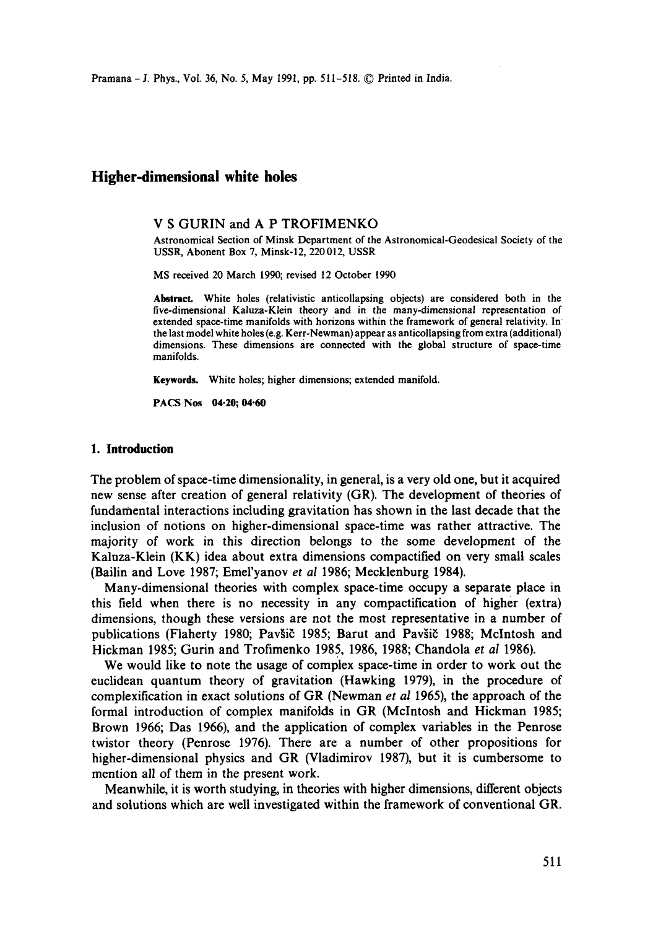Pramana - J. Phys., Vol. 36, No. 5, May 1991, pp. 511-518. © Printed in India.

# **Higher-dimensional white holes**

### V S GURIN and A P TROFIMENKO

Astronomical Section of Minsk Department of the Astronomical-Geodesical Society of the USSR, Abonent Box 7, Minsk-12, 220012, USSR

MS received 20 March 1990; revised 12 October 1990

Abstract. White holes (relativistic anticollapsing objects) are considered both in the five-dimensional Kaluza-Klein theory and in the many-dimensional representation of extended space-time manifolds with horizons within the framework of general relativity. In the last model white holes (e.g. Kerr-Newman) appear as anticollapsing from extra (additional) dimensions. These dimensions are connected with the global structure of space-time manifolds.

**Keywords.** White holes; higher dimensions; extended manifold.

**PACS Nos 04.20; 04.60** 

### **1. Introduction**

The problem of space-time dimensionality, in general, is a very old one, but it acquired new sense after creation of general relativity (GR). The development of theories of fundamental interactions including gravitation has shown in the last decade that the inclusion of notions on higher-dimensional space-time was rather attractive. The majority of work in this direction belongs to the some development of the Kalaza-Klein (KK) idea about extra dimensions compactified on very small scales (Bailin and Love 1987; Emel'yanov *et al* 1986; Mecklenburg 1984).

Many-dimensional theories with complex space-time occupy a separate place in this field when there is no necessity in any compactification of higher (extra) dimensions, though these versions are not the most representative in a number of publications (Flaherty 1980; Pavšič 1985; Barut and Pavšič 1988; McIntosh and Hickman 1985; Gurin and Trofimenko 1985, 1986, 1988; Chandola *et al* 1986).

We would like to note the usage of complex space-time in order to work out the euclidean quantum theory of gravitation (Hawking 1979), in the procedure of complexification in exact solutions of GR (Newman *et al* 1965), the approach of the formal introduction of complex manifolds in GR (Mclntosh and Hickman 1985; Brown 1966; Das 1966), and the application of complex variables in the Penrose twistor theory (Penrose 1976). There are a number of other propositions for higher-dimensional physics and GR (Vladimirov 1987), but it is cumbersome to mention all of them in the present work.

Meanwhile, it is worth studying, in theories with higher dimensions, different objects and solutions which are well investigated within the framework of conventional GR.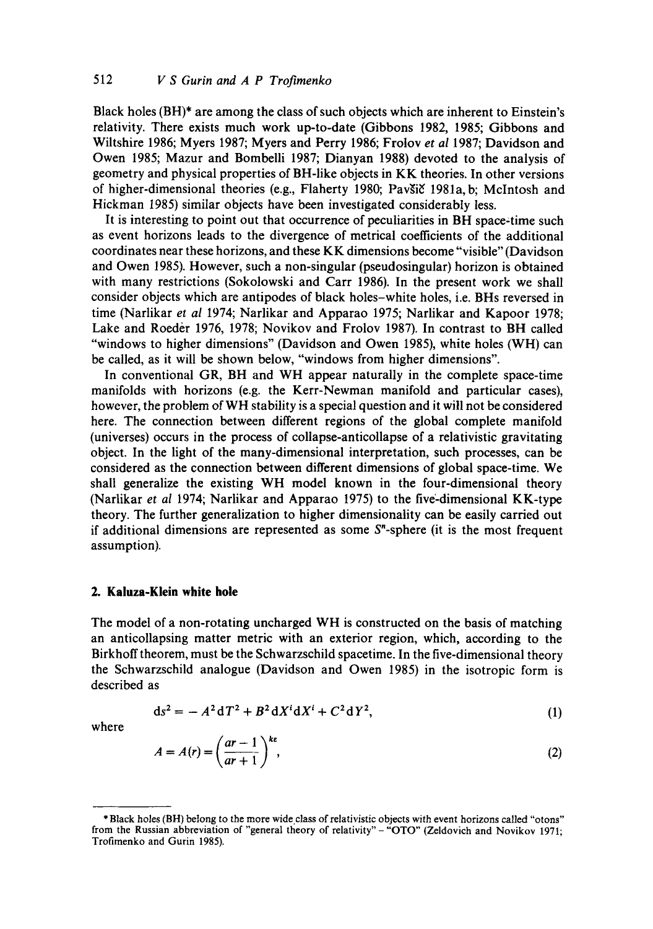Black holes (BH)\* are among the class of such objects which are inherent to Einstein's relativity. There exists much work up-to-date (Gibbons 1982, 1985; Gibbons and Wiltshire 1986; Myers 1987; Myers and Perry 1986; Froiov *et al* 1987; Davidson and Owen 1985; Mazur and Bombelli 1987; Dianyan 1988) devoted to the analysis of geometry and physical properties of BH-like objects in KK theories. In other versions of higher-dimensional theories (e.g., Flaherty 1980; Pavšič 1981a, b; McIntosh and Hickman 1985) similar objects have been investigated considerably less.

It is interesting to point out that occurrence of peculiarities in BH space-time such as event horizons leads to the divergence of metrical coefficients of the additional coordinates near these horizons, and these KK dimensions become "visible" (Davidson and Owen 1985). However, such a non-singular {pseudosingular) horizon is obtained with many restrictions (Sokolowski and Carr 1986). In the present work we shall consider objects which are antipodes of black holes-white holes, i.e. BHs reversed in time (Narlikar *et al* 1974; Narlikar and Apparao 1975; Narlikar and Kapoor 1978; Lake and Roeder 1976, 1978; Novikov and Frolov 1987). In contrast to BH called "windows to higher dimensions" (Davidson and Owen 1985), white holes (WH) can be called, as it will be shown below, "windows from higher dimensions".

In conventional GR, BH and WH appear naturally in the complete space-time manifolds with horizons (e.g. the Kerr-Newman manifold and particular cases), however, the problem of WH stability is a special question and it will not be considered here. The connection between different regions of the global complete manifold (universes) occurs in the process of collapse-anticollapse of a relativistic gravitating object. In the light of the many-dimensional interpretation, such processes, can be considered as the connection between different dimensions of global space-time. We shall generalize the existing WH model known in the four-dimensional theory (Narlikar *et al* 1974; Narlikar and Apparao 1975) to the five-dimensional KK-type theory. The further generalization to higher dimensionality can be easily carried out if additional dimensions are represented as some  $S<sup>n</sup>$ -sphere (it is the most frequent assumption).

## **2. Kaluza-Klein white hole**

The model of a non-rotating uncharged WH is constructed on the basis of matching an anticollapsing matter metric with an exterior region, which, according to the Birkhoff theorem, must be the Schwarzschild spacetime. In the five-dimensional theory the Schwarzschild analogue (Davidson and Owen 1985) in the isotropic form is described as

$$
ds^{2} = -A^{2} dT^{2} + B^{2} dX^{i} dX^{i} + C^{2} dY^{2}, \qquad (1)
$$

where

$$
A = A(r) = \left(\frac{ar-1}{ar+1}\right)^{ke},\tag{2}
$$

<sup>\*</sup> Black holes (BH) belong to the more wide class of relativistic objects with event horizons called "otons" from the Russian abbreviation of "general theory of relativity" - "OTO" (Zeldovich and Novikov 1971; Trofimenko and Gurin 1985).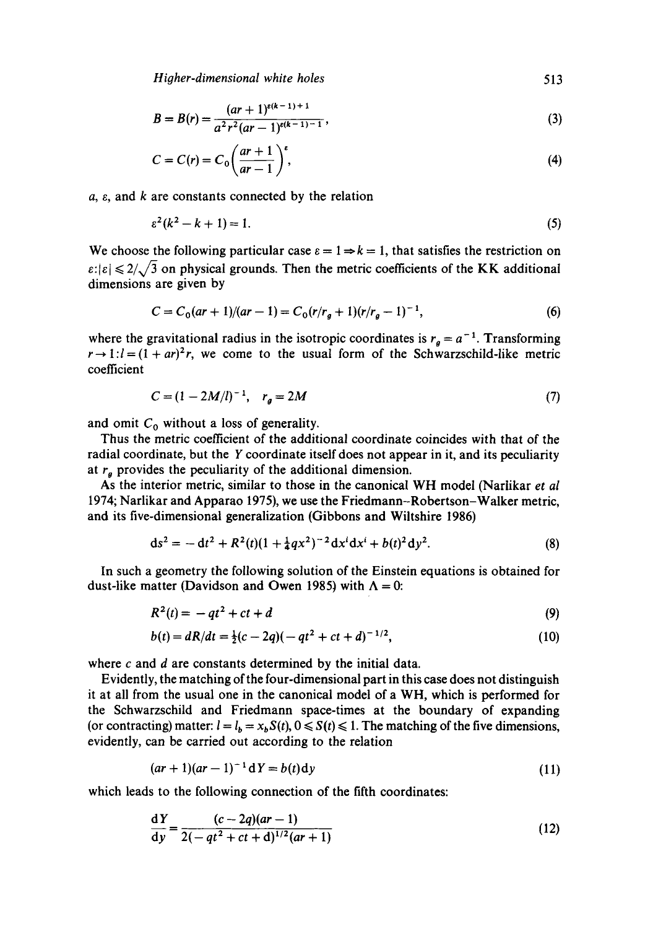*Higher-dimensional white holes* 513

$$
B = B(r) = \frac{(ar+1)^{e(k-1)+1}}{a^2 r^2 (ar-1)^{e(k-1)-1}},
$$
\n(3)

$$
C = C(r) = C_0 \left(\frac{ar+1}{ar-1}\right)^t, \tag{4}
$$

 $a, \varepsilon$ , and  $k$  are constants connected by the relation

$$
\varepsilon^2(k^2 - k + 1) = 1. \tag{5}
$$

We choose the following particular case  $\varepsilon = 1 \Rightarrow k = 1$ , that satisfies the restriction on  $\epsilon: |\epsilon| \leq 2/\sqrt{3}$  on physical grounds. Then the metric coefficients of the KK additional dimensions are given by

$$
C = C_0(ar + 1)/(ar - 1) = C_0(r/r_g + 1)(r/r_g - 1)^{-1},
$$
\n(6)

where the gravitational radius in the isotropic coordinates is  $r<sub>a</sub> = a<sup>-1</sup>$ . Transforming  $r \rightarrow 1:l = (1 + ar)^2r$ , we come to the usual form of the Schwarzschild-like metric coefficient

$$
C = (1 - 2M/l)^{-1}, \quad r_g = 2M \tag{7}
$$

and omit  $C_0$  without a loss of generality.

Thus the metric coefficient of the additional coordinate coincides with that of the radial coordinate, but the Y coordinate itself does not appear in it, and its peculiarity at  $r_g$  provides the peculiarity of the additional dimension.

As the interior metric, similar to those in the canonical WH model (Narlikar *et al*  1974; Narlikar and Apparao 1975), we use the Friedmann-Robertson-Walker metric, and its five-dimensional generalization (Gibbons and Wiitshire 1986)

$$
ds^{2} = -dt^{2} + R^{2}(t)(1 + \frac{1}{4}qx^{2})^{-2}dx^{i}dx^{i} + b(t)^{2}dy^{2}.
$$
 (8)

In such a geometry the following solution of the Einstein equations is obtained for dust-like matter (Davidson and Owen 1985) with  $\Lambda = 0$ :

$$
R^2(t) = -qt^2 + ct + d \tag{9}
$$

$$
b(t) = dR/dt = \frac{1}{2}(c - 2q)(-qt^2 + ct + d)^{-1/2},
$$
\n(10)

where  $c$  and  $d$  are constants determined by the initial data.

Evidently, the matching of the four-dimensional part in this case does not distinguish it at all from the usual one in the canonical model of a WH, which is performed for the Schwarzschild and Friedmann space-times at the boundary of expanding (or contracting) matter:  $l = l_b = x_b S(t)$ ,  $0 \le S(t) \le 1$ . The matching of the five dimensions, evidently, can be carried out according to the relation

$$
(ar + 1)(ar - 1)^{-1} dY = b(t) dy
$$
 (11)

which leads to the following connection of the fifth coordinates:

$$
\frac{dY}{dy} = \frac{(c-2q)(ar-1)}{2(-qt^2+ct+d)^{1/2}(ar+1)}
$$
(12)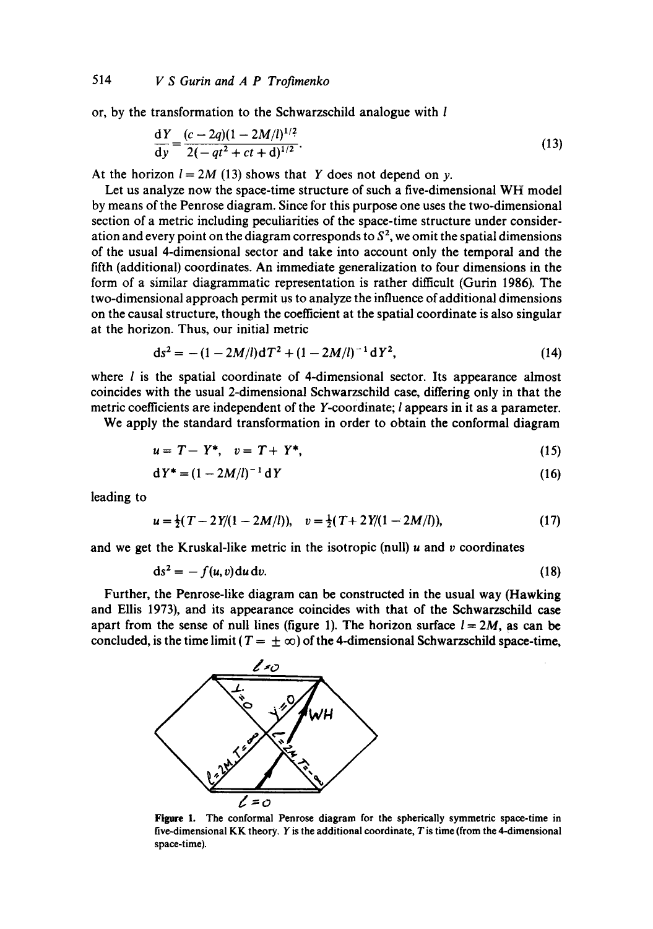or, by the transformation to the Schwarzschild analogue with l

$$
\frac{dY}{dy} = \frac{(c - 2q)(1 - 2M/l)^{1/2}}{2(-qt^2 + ct + d)^{1/2}}.
$$
\n(13)

At the horizon  $l = 2M (13)$  shows that Y does not depend on y.

Let us analyze now the space-time structure of such a five-dimensional WH model by means of the Penrose diagram. Since for this purpose one uses the two-dimensional section of a metric including peculiarities of the space-time structure under consideration and every point on the diagram corresponds to  $S^2$ , we omit the spatial dimensions of the usual 4-dimensional sector and take into account only the temporal and the fifth (additional) coordinates. An immediate generalization to four dimensions in the form of a similar diagrammatic representation is rather difficult (Gurin I986). The two-dimensional approach permit us to analyze the influence of additional dimensions on the causal structure, though the coefficient at the spatial coordinate is also singular at the horizon. Thus, our initial metric

$$
ds^{2} = -(1 - 2M/l)dT^{2} + (1 - 2M/l)^{-1}dY^{2}, \qquad (14)
$$

where  $l$  is the spatial coordinate of 4-dimensional sector. Its appearance almost coincides with the usual 2-dimensional Schwarzschild case, differing only in that the metric coefficients are independent of the Y-coordinate; I appears in it as a parameter.

We apply the standard transformation in order to obtain the conformal diagram

$$
u = T - Y^*, \quad v = T + Y^*, \tag{15}
$$

$$
dY^* = (1 - 2M/l)^{-1} dY
$$
 (16)

leading to

$$
u = \frac{1}{2}(T - 2Y/(1 - 2M/l)), \quad v = \frac{1}{2}(T + 2Y/(1 - 2M/l)), \tag{17}
$$

and we get the Kruskal-like metric in the isotropic (null)  $u$  and  $v$  coordinates

$$
ds^2 = -f(u, v) du dv. \tag{18}
$$

Further, the Penrose-like diagram can be constructed in the usual way (Hawking and Ellis 1973), and its appearance coincides with that of the Schwarzschild case apart from the sense of null lines (figure 1). The horizon surface  $l = 2M$ , as can be concluded, is the time limit ( $T = \pm \infty$ ) of the 4-dimensional Schwarzschild space-time,



**Figure** 1. The conformal Penrose diagram for the spherically symmetric space-time in five-dimensional KK theory. Y is the additional coordinate, T is time (from the 4-dimensional space-time).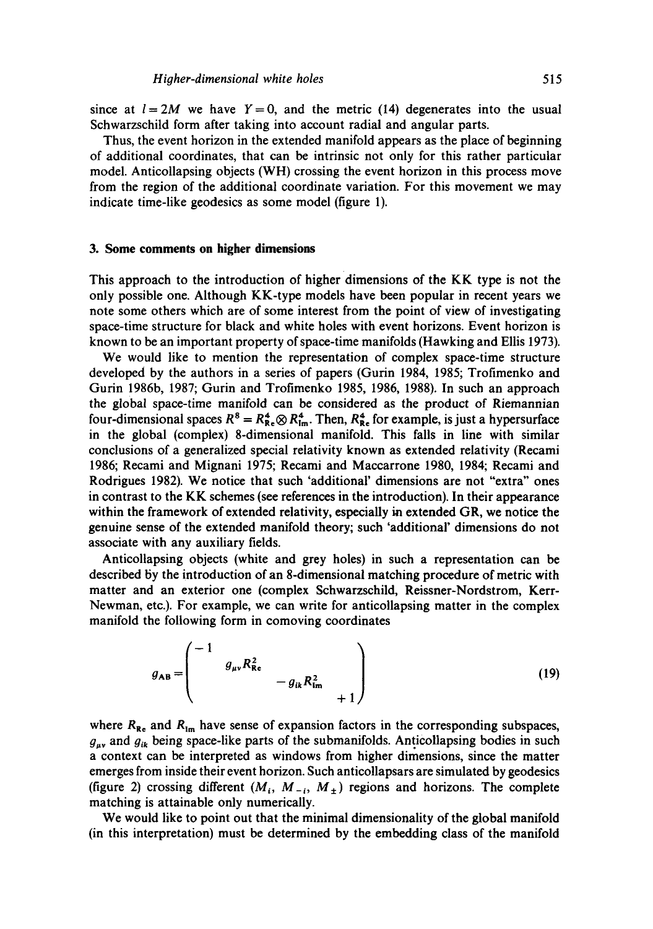since at  $l = 2M$  we have  $Y = 0$ , and the metric (14) degenerates into the usual Schwarzschild form after taking into account radial and angular parts.

Thus, the event horizon in the extended manifold appears as the place of beginning of additional coordinates, that can be intrinsic not only for this rather particular model. Anticollapsing objects (WH) crossing the event horizon in this process move from the region of the additional coordinate variation. For this movement we may indicate time-like geodesics as some model (figure 1).

### **3. Some comments on higher dimensions**

This approach to the introduction of higher dimensions of the KK type is not the only possible one. Although KK-type models have been popular in recent years we note some others which are of some interest from the point of view of investigating space-time structure for black and white holes with event horizons. Event horizon is known to be an important property of space-time manifolds (Hawking and Ellis 1973).

We would like to mention the representation of complex space-time structure developed by the authors in a series of papers (Gurin 1984, 1985; Trofimenko and Gurin 1986b, 1987; Gurin and Trofimenko 1985, 1986, 1988). In such an approach the global space-time manifold can be considered as the product of Riemannian four-dimensional spaces  $R^8 = R_{\text{Re}}^4 \otimes R_{\text{Im}}^4$ . Then,  $R_{\text{Re}}^4$  for example, is just a hypersurface in the global (complex) 8-dimensional manifold. This falls in line with similar conclusions of a generalized special relativity known as extended relativity (Recami 1986; Recami and Mignani 1975; Recami and Maccarrone 1980, 1984; Recami and Rodrigues 1982). We notice that such 'additional' dimensions are not "extra" ones in contrast to the KK schemes (see references in the introduction). In their appearance within the framework of extended relativity, especially in extended GR, we notice the genuine sense of the extended manifold theory; such 'additional' dimensions do not associate with any auxiliary fields.

Anticollapsing objects (white and grey holes) in such a representation can be described by the introduction of an 8-dimensional matching procedure of metric with matter and an exterior one (complex Schwarzschild, Reissner-Nordstrom, Kerr-Newman, etc.). For example, we can write for anticollapsing matter in the complex manifold the following form in comoving coordinates

$$
g_{AB} = \begin{pmatrix} -1 & & & & \\ & g_{\mu\nu} R_{\text{Re}}^2 & & \\ & & -g_{ik} R_{\text{Im}}^2 & \\ & & & +1 \end{pmatrix}
$$
 (19)

where  $R_{\text{Re}}$  and  $R_{\text{Im}}$  have sense of expansion factors in the corresponding subspaces,  $g_{uv}$  and  $g_{ik}$  being space-like parts of the submanifolds. Anticollapsing bodies in such a context can be interpreted as windows from higher dimensions, since the matter emerges from inside their event horizon. Such anticollapsars are simulated by geodesics (figure 2) crossing different  $(M_i, M_{-i}, M_{+})$  regions and horizons. The complete matching is attainable only numerically.

We would like to point out that the minimal dimensionality of the global manifold (in this interpretation) must be determined by the embedding class of the manifold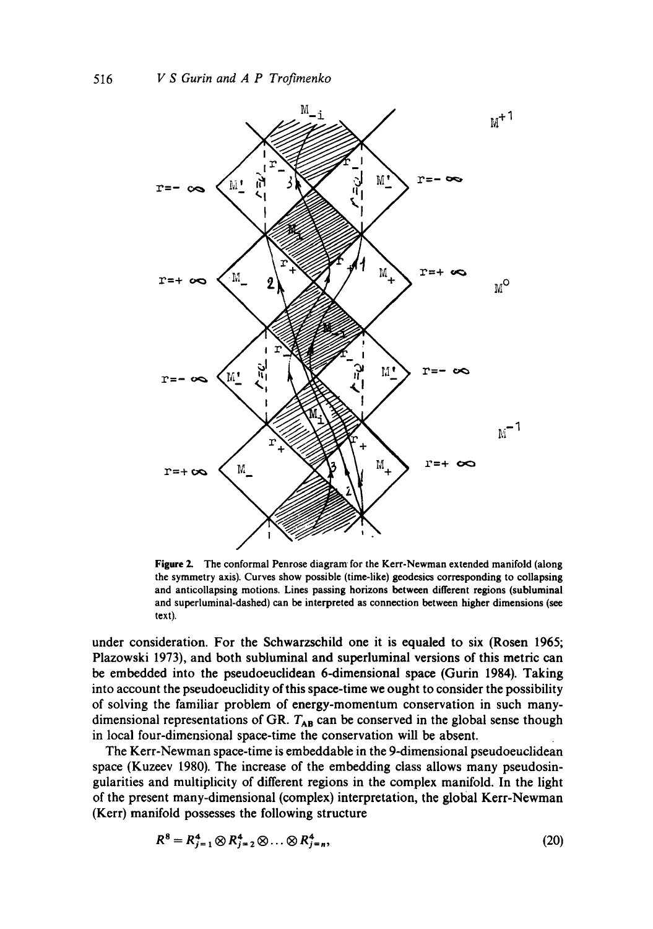

**Figure 2.** The conformal Penrose diagram for the Kerr-Newman extended manifold (along the symmetry axis). Curves show possible (time-like) geodesics corresponding to collapsing and anticollapsing motions. Lines passing horizons between different regions (subluminal and superluminal-dashed) can be interpreted as connection between higher dimensions (see text).

under consideration. For the Schwarzschild one it is equaled to six (Rosen 1965; Plazowski 1973), and both subluminal and superluminal versions of this metric can be embedded into the pseudoeuclidean 6-dimensional space (Gurin 1984). Taking into account the pseudoeuclidity of this space-time we ought to consider the possibility of solving the familiar problem of energy-momentum conservation in such manydimensional representations of GR.  $T_{AB}$  can be conserved in the global sense though in local four-dimensional space-time the conservation will be absent.

The Kerr-Newman space-time is embeddable in the 9-dimensional pseudoeuclidean space (Kuzeev 1980). The increase of the embedding class allows many pseudosingularities and multiplicity of different regions in the complex manifold. In the light of the present many-dimensional (complex) interpretation, the global Kerr-Newman (Kerr) manifold possesses the following structure

$$
R^8 = R_{j=1}^4 \otimes R_{j=2}^4 \otimes \ldots \otimes R_{j=n}^4, \qquad (20)
$$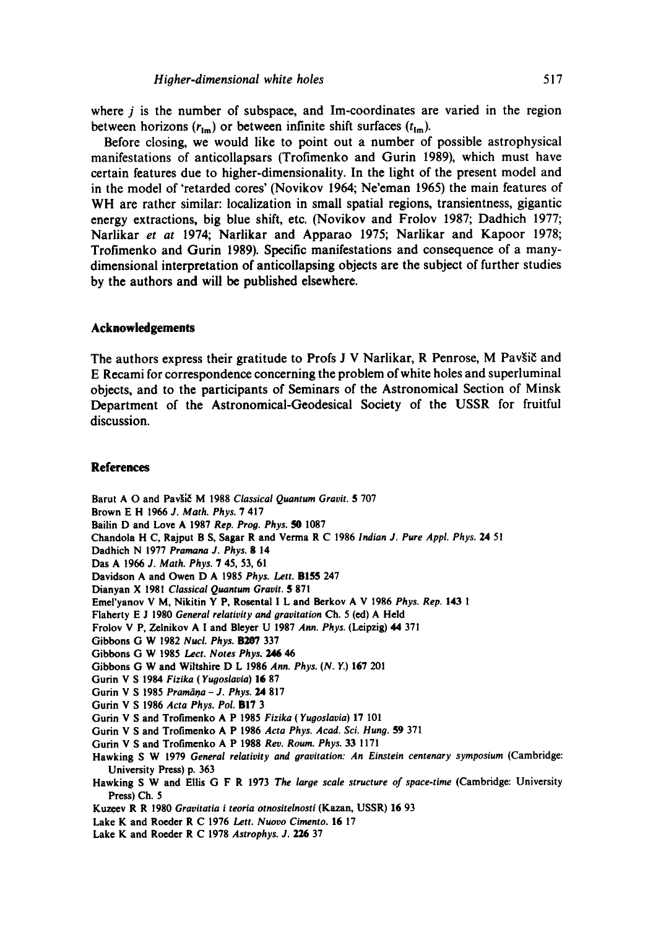**where j is the number of subspace, and Im-coordinates are varied in the region**  between horizons  $(r_{\text{im}})$  or between infinite shift surfaces  $(t_{\text{im}})$ .

**Before closing, we would like to point out a number of possible astrophysical manifestations of anticollapsars (Trofimenko and Gurin 1989), which must have certain features due to higher-dimensionality. In the light of the present model and in the model of 'retarded cores' (Novikov 1964; Ne'eman 1965) the main features of WH are rather similar: localization in small spatial regions, transientness, gigantic energy extractions, big blue shift, etc. (Novikov and Frolov 1987; Dadhich 1977; Narlikar** *et at* **1974; Narlikar and Apparao 1975; Narlikar and Kapoor 1978; Trofimenko and Gurin 1989). Specific manifestations and consequence of a manydimensional interpretation of anticollapsing objects are the subject of further studies by the authors and will be published elsewhere.** 

### **Acknowledgements**

The authors express their gratitude to Profs J V Narlikar, R Penrose, M Pavšič and **E Recami for correspondence concerning the problem of white holes and superluminal objects, and to the participants of Seminars of the Astronomical Section of Minsk Department of the Astronomical-Geodesical Society of the USSR for fruitful discussion.** 

#### **References**

Barut A O and Pavšič M 1988 *Classical Quantum Gravit.* 5 707 **Brown** E H 1966 *J. Math. Phys.* 7 417 **Bailin D and** Love A 1987 *Rep. Proo. Phys. 50* 1087 Chandola H C, Rajput B S, Sagar R **and Verma** R C 1986 *Indian J. Pure Appl. Phys. 24* 51 **Dadhich** N 1977 *Pramana J. Phys.* g 14 Das A 1966 *J. Math. Phys.* 7 45, 53, 61 Davidson A **and Owen** D A 1985 *Phys. Lett.* B155 247 Dianyan X 1981 *Classical Quantum Gravit.* 5 871 Emel'yanov V M, Nikitin Y P, Rosental I L and Berkov A V 1986 *Phys. Rep.* 143 1 **Flaherty** E J 1980 *General relativity and oravitation* Ch. 5 (ed) A **Held**  Frolov V P, Zelnikov A I **and Bleyer** U 1987 *Ann. Phys.* (Leipzig) 44 371 **Gibbons** G W 1982 *Nucl. Phys.* B207 337 **Gibbons** G W 1985 *Lect. Notes Phys. 246 46*  **Gibbons** G W **and Wiltshire** D L 1986 *Ann. Phys. (N. Y.)* 167 201 **Gurin** V S 1984 *Fizika (Yuooslavia)* 16 87 Gurin V S 1985 *Pramāņa - J. Phys.* 24 817 **Gurin** V S 1986 *Acta Phys. Pol.* B17 3 **Gurin** V S **and Trofimenko** A P 1985 *Fizika (Yuooslavia)* 17 101 **Gurin** V S and Trofimonko A P 1986 *Acta Phys. Acad. Sci. Hung.* 59 371 **Gurin** V S **and Trofimenko** A P 1988 *Rev. Roum. Phys.* 33 1171 **Hawking** S W 1979 *General relativity and oravitation: An Einstein centenary symposium* **(Cambridge: University Press)** p. 363 **Hawking** S W **and Ellis** G F R 1973 *The large scale structure of space-time* **(Cambridge: University Press)** Ch. 5 Kuzcev R R 1980 *Gravitatia i teoria otnositelnosti* (Kazan, USSR) 16 93 Lake K and Roeder R C 1976 *Lett. Nuovo Cimento.* 16 17 Lake K **and Roeder** R C 1978 *Astrophys.* J. 226 37